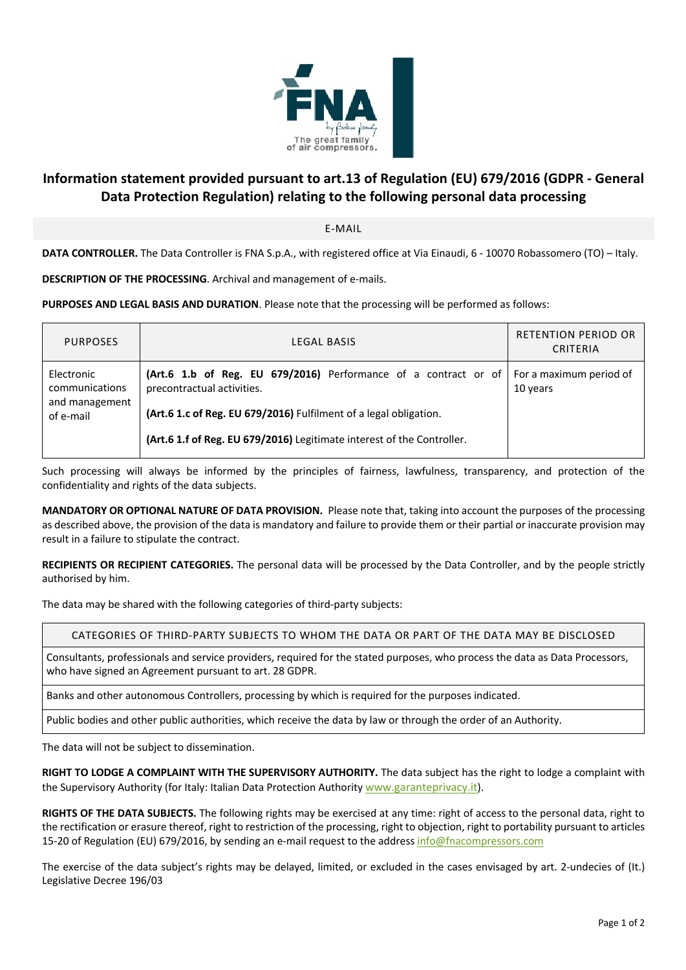

## **Information statement provided pursuant to art.13 of Regulation (EU) 679/2016 (GDPR - General Data Protection Regulation) relating to the following personal data processing**

E-MAIL

**DATA CONTROLLER.** The Data Controller is FNA S.p.A., with registered office at Via Einaudi, 6 - 10070 Robassomero (TO) – Italy.

**DESCRIPTION OF THE PROCESSING**. Archival and management of e-mails.

**PURPOSES AND LEGAL BASIS AND DURATION**. Please note that the processing will be performed as follows:

| <b>PURPOSES</b>                                             | LEGAL BASIS                                                                                                                                                                                                                                  | <b>RETENTION PERIOD OR</b><br>CRITERIA |
|-------------------------------------------------------------|----------------------------------------------------------------------------------------------------------------------------------------------------------------------------------------------------------------------------------------------|----------------------------------------|
| Electronic<br>communications<br>and management<br>of e-mail | (Art.6 1.b of Reg. EU 679/2016) Performance of a contract or of<br>precontractual activities.<br>(Art.6 1.c of Reg. EU 679/2016) Fulfilment of a legal obligation.<br>(Art.6 1.f of Reg. EU 679/2016) Legitimate interest of the Controller. | For a maximum period of<br>10 years    |

Such processing will always be informed by the principles of fairness, lawfulness, transparency, and protection of the confidentiality and rights of the data subjects.

**MANDATORY OR OPTIONAL NATURE OF DATA PROVISION.** Please note that, taking into account the purposes of the processing as described above, the provision of the data is mandatory and failure to provide them or their partial or inaccurate provision may result in a failure to stipulate the contract.

**RECIPIENTS OR RECIPIENT CATEGORIES.** The personal data will be processed by the Data Controller, and by the people strictly authorised by him.

The data may be shared with the following categories of third-party subjects:

CATEGORIES OF THIRD-PARTY SUBJECTS TO WHOM THE DATA OR PART OF THE DATA MAY BE DISCLOSED

Consultants, professionals and service providers, required for the stated purposes, who process the data as Data Processors, who have signed an Agreement pursuant to art. 28 GDPR.

Banks and other autonomous Controllers, processing by which is required for the purposes indicated.

Public bodies and other public authorities, which receive the data by law or through the order of an Authority.

The data will not be subject to dissemination.

**RIGHT TO LODGE A COMPLAINT WITH THE SUPERVISORY AUTHORITY.** The data subject has the right to lodge a complaint with the Supervisory Authority (for Italy: Italian Data Protection Authority www.garanteprivacy.it).

**RIGHTS OF THE DATA SUBJECTS.** The following rights may be exercised at any time: right of access to the personal data, right to the rectification or erasure thereof, right to restriction of the processing, right to objection, right to portability pursuant to articles 15-20 of Regulation (EU) 679/2016, by sending an e-mail request to the address info@fnacompressors.com

The exercise of the data subject's rights may be delayed, limited, or excluded in the cases envisaged by art. 2-undecies of (It.) Legislative Decree 196/03